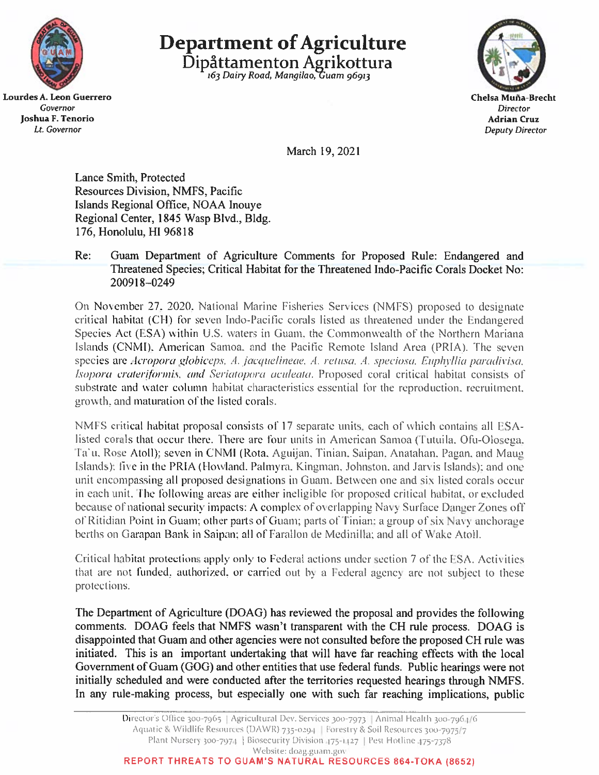

Lourdes A. Leon Guerrero Governor Joshua F. Tenorio Lt. Governor

**Department of Agriculture** Dipåttamenton Agrikottura



March 19, 2021

Lance Smith, Protected Resources Division, NMFS, Pacific Islands Regional Office, NOAA Inouye Regional Center, 1845 Wasp Blvd., Bldg. 176, Honolulu, HI 96818

#### $Re:$ Guam Department of Agriculture Comments for Proposed Rule: Endangered and Threatened Species; Critical Habitat for the Threatened Indo-Pacific Corals Docket No: 200918-0249

On November 27, 2020, National Marine Fisheries Services (NMFS) proposed to designate critical habitat (CH) for seven Indo-Pacific corals listed as threatened under the Endangered Species Act (ESA) within U.S. waters in Guam, the Commonwealth of the Northern Mariana Islands (CNMI), American Samoa, and the Pacific Remote Island Area (PRIA). The seven species are Acropora globiceps, A. jacquelineae, A. retusa, A. speciosa, Euphyllia paradivisa, Isopora crateriformis, and Seriatopora aculeata. Proposed coral critical habitat consists of substrate and water column habitat characteristics essential for the reproduction, recruitment, growth, and maturation of the listed corals.

NMFS critical habitat proposal consists of 17 separate units, each of which contains all ESAlisted corals that occur there. There are four units in American Samoa (Tutuila, Ofu-Olosega, Ta'u, Rose Atoll); seven in CNMI (Rota, Aguijan, Tinian, Saipan, Anatahan, Pagan, and Maug Islands): five in the PRIA (Howland, Palmyra, Kingman, Johnston, and Jarvis Islands); and one unit encompassing all proposed designations in Guam. Between one and six listed corals occur in each unit. The following areas are either ineligible for proposed critical habitat, or excluded because of national security impacts: A complex of overlapping Navy Surface Danger Zones off of Ritidian Point in Guam; other parts of Guam; parts of Tinian; a group of six Navy anchorage berths on Garapan Bank in Saipan; all of Farallon de Medinilla; and all of Wake Atoll.

Critical habitat protections apply only to Federal actions under section 7 of the ESA. Activities that are not funded, authorized, or carried out by a Federal agency are not subject to these protections.

The Department of Agriculture (DOAG) has reviewed the proposal and provides the following comments. DOAG feels that NMFS wasn't transparent with the CH rule process. DOAG is disappointed that Guam and other agencies were not consulted before the proposed CH rule was initiated. This is an important undertaking that will have far reaching effects with the local Government of Guam (GOG) and other entities that use federal funds. Public hearings were not initially scheduled and were conducted after the territories requested hearings through NMFS. In any rule-making process, but especially one with such far reaching implications, public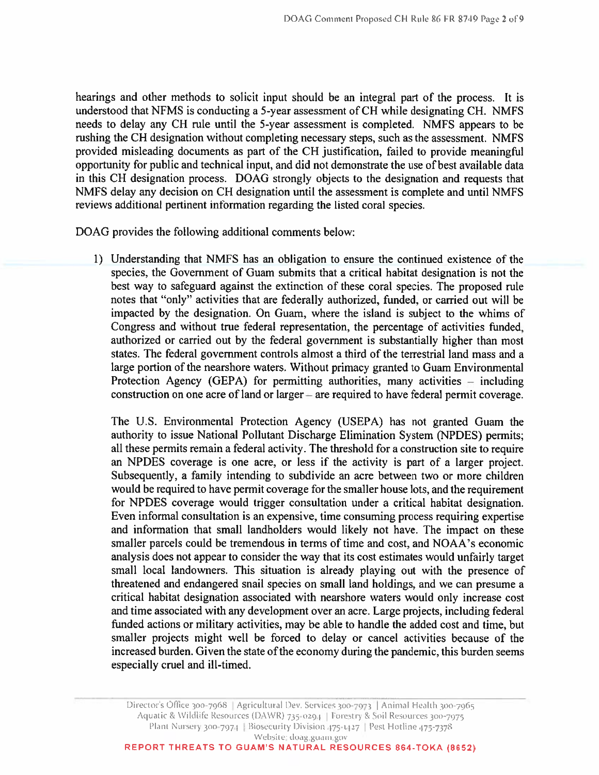hearings and other methods to solicit input should be an integral part of the process. It is understood that NFMS is conducting a 5-year assessment of CH while designating CH. NMFS needs to delay any CH rule until the 5-year assessment is completed. NMFS appears to be rushing the CH designation without completing necessary steps, such as the assessment. NMFS provided misleading documents as part of the CH justification, failed to provide meaningful opportunity for public and technical input, and did not demonstrate the use of best available data in this CH designation process. DOAG strongly objects to the designation and requests that NMFS delay any decision on CH designation until the assessment is complete and until NMFS reviews additional pertinent information regarding the listed coral species.

DOAG provides the following additional comments below:

1) Understanding that NMFS has an obligation to ensure the continued existence of the species, the Government of Guam submits that a critical habitat designation is not the best way to safeguard against the extinction of these coral species. The proposed rule notes that "only" activities that are federally authorized, funded, or carried out will be impacted by the designation. On Guam, where the island is subject to the whims of Congress and without true federal representation, the percentage of activities funded, authorized or carried out by the federal government is substantially higher than most states. The federal government controls almost a third of the terrestrial land mass and a large portion of the nearshore waters. Without primacy granted to Guam Environmental Protection Agency (GEPA) for permitting authorities, many activities  $-$  including construction on one acre of land or larger  $-$  are required to have federal permit coverage.

The U.S. Environmental Protection Agency (USEPA) has not granted Guam the authority to issue National Pollutant Discharge Elimination System (NPDES) permits; all these permits remain a federal activity. The threshold for a construction site to require an NPDES coverage is one acre, or less if the activity is part of a larger project. Subsequently, a family intending to subdivide an acre between two or more children would be required to have permit coverage for the smaller house lots, and the requirement for NPDES coverage would trigger consultation under a critical habitat designation. Even informal consultation is an expensive, time consuming process requiring expertise and information that small landholders would likely not have. The impact on these smaller parcels could be tremendous in terms of time and cost, and NOAA's economic analysis does not appear to consider the way that its cost estimates would unfairly target small local landowners. This situation is already playing out with the presence of threatened and endangered snail species on small land holdings, and we can presume a critical habitat designation associated with nearshore waters would only increase cost and time associated with any development over an acre. Large projects, including federal funded actions or military activities, may be able to handle the added cost and time, but smaller projects might well be forced to delay or cancel activities because of the increased burden. Given the state of the economy during the pandemic, this burden seems especially cruel and ill-timed.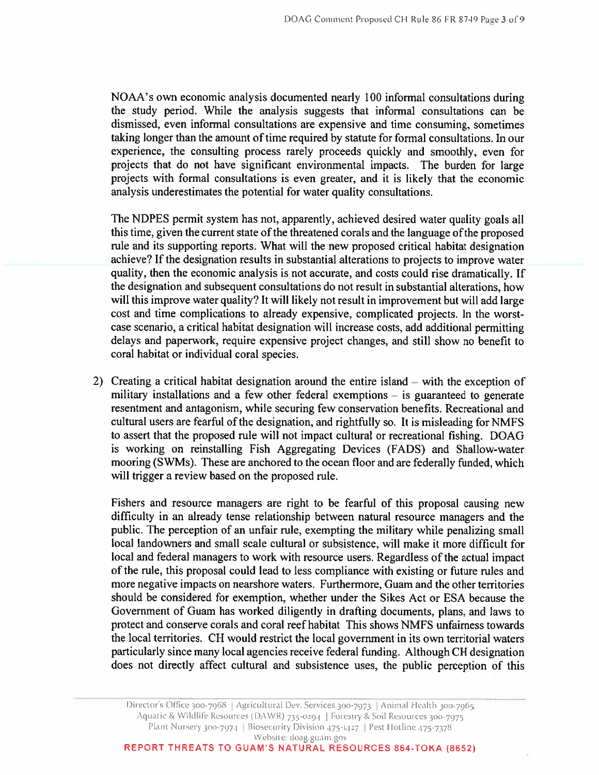NOAA's own economic analysis documented nearly 100 informal consultations during the study period. While the analysis suggests that informal consultations can be dismissed, even informal consultations are expensive and time consuming, sometimes taking longer than the amount of time required by statute for formal consultations. In our experience, the consulting process rarely proceeds quickly and smoothly, even for projects that do not have significant environmental impacts. The burden for large projects with formal consultations is even greater, and it is likely that the economic analysis underestimates the potential for water quality consultations.

The NDPES permit system has not, apparently, achieved desired water quality goals all this time, given the current state of the threatened corals and the language of the proposed rule and its supporting reports. What will the new proposed critical habitat designation achieve? If the designation results in substantial alterations to projects to improve water quality, then the economic analysis is not accurate, and costs could rise dramatically. If the designation and subsequent consultations do not result in substantial alterations, how will this improve water quality? It will likely not result in improvement but will add large cost and time complications to already expensive, complicated projects. In the worstcase scenario, a critical habitat designation will increase costs, add additional permitting delays and paperwork, require expensive project changes, and still show no benefit to coral habitat or individual coral species.

2) Creating a critical habitat designation around the entire island – with the exception of military installations and a few other federal exemptions – is guaranteed to generate resentment and antagonism, while securing few conservation benefits. Recreational and cultural users are fearful of the designation, and rightfully so. It is misleading for NMFS to assert that the proposed rule will not impact cultural or recreational fishing. DOAG is working on reinstalling Fish Aggregating Devices (FADS) and Shallow-water mooring (SWMs). These are anchored to the ocean floor and are federally funded, which will trigger a review based on the proposed rule.

Fishers and resource managers are right to be fearful of this proposal causing new difficulty in an already tense relationship between natural resource managers and the public. The perception of an unfair rule, exempting the military while penalizing small local landowners and small scale cultural or subsistence, will make it more difficult for local and federal managers to work with resource users. Regardless of the actual impact of the rule, this proposal could lead to less compliance with existing or future rules and more negative impacts on nearshore waters. Furthermore, Guam and the other territories should be considered for exemption, whether under the Sikes Act or ESA because the Government of Guam has worked diligently in drafting documents, plans, and laws to protect and conserve corals and coral reef habitat This shows NMFS unfairness towards the local territories. CH would restrict the local government in its own territorial waters particularly since many local agencies receive federal funding. Although CH designation does not directly affect cultural and subsistence uses, the public perception of this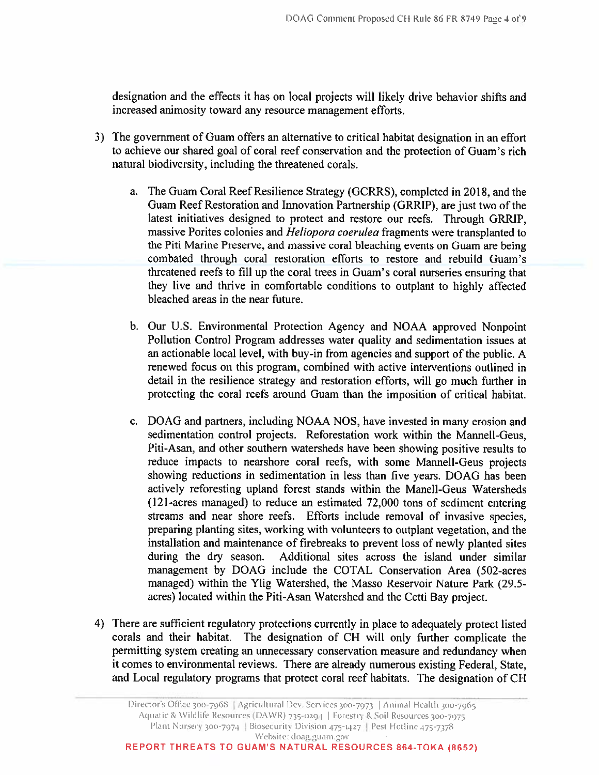designation and the effects it has on local projects will likely drive behavior shifts and increased animosity toward any resource management efforts.

- 3) The government of Guam offers an alternative to critical habitat designation in an effort to achieve our shared goal of coral reef conservation and the protection of Guam's rich natural biodiversity, including the threatened corals.
	- a. The Guam Coral Reef Resilience Strategy (GCRRS), completed in 2018, and the Guam Reef Restoration and Innovation Partnership (GRRIP), are just two of the latest initiatives designed to protect and restore our reefs. Through GRRIP, massive Porites colonies and *Heliopora coerulea* fragments were transplanted to the Piti Marine Preserve, and massive coral bleaching events on Guam are being combated through coral restoration efforts to restore and rebuild Guam's threatened reefs to fill up the coral trees in Guam's coral nurseries ensuring that they live and thrive in comfortable conditions to outplant to highly affected bleached areas in the near future.
	- b. Our U.S. Environmental Protection Agency and NOAA approved Nonpoint Pollution Control Program addresses water quality and sedimentation issues at an actionable local level, with buy-in from agencies and support of the public. A renewed focus on this program, combined with active interventions outlined in detail in the resilience strategy and restoration efforts, will go much further in protecting the coral reefs around Guam than the imposition of critical habitat.
	- c. DOAG and partners, including NOAA NOS, have invested in many erosion and sedimentation control projects. Reforestation work within the Mannell-Geus, Piti-Asan, and other southern watersheds have been showing positive results to reduce impacts to nearshore coral reefs, with some Mannell-Geus projects showing reductions in sedimentation in less than five years. DOAG has been actively reforesting upland forest stands within the Manell-Geus Watersheds (121-acres managed) to reduce an estimated 72,000 tons of sediment entering streams and near shore reefs. Efforts include removal of invasive species, preparing planting sites, working with volunteers to outplant vegetation, and the installation and maintenance of firebreaks to prevent loss of newly planted sites during the dry season. Additional sites across the island under similar management by DOAG include the COTAL Conservation Area (502-acres managed) within the Ylig Watershed, the Masso Reservoir Nature Park (29.5acres) located within the Piti-Asan Watershed and the Cetti Bay project.
- 4) There are sufficient regulatory protections currently in place to adequately protect listed corals and their habitat. The designation of CH will only further complicate the permitting system creating an unnecessary conservation measure and redundancy when it comes to environmental reviews. There are already numerous existing Federal, State, and Local regulatory programs that protect coral reef habitats. The designation of CH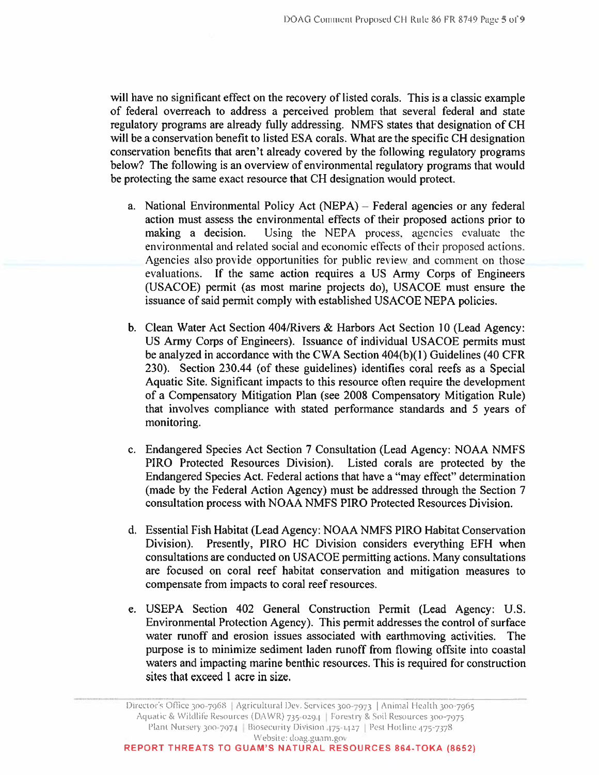will have no significant effect on the recovery of listed corals. This is a classic example of federal overreach to address a perceived problem that several federal and state regulatory programs are already fully addressing. NMFS states that designation of CH will be a conservation benefit to listed ESA corals. What are the specific CH designation conservation benefits that aren't already covered by the following regulatory programs below? The following is an overview of environmental regulatory programs that would be protecting the same exact resource that CH designation would protect.

- a. National Environmental Policy Act (NEPA) Federal agencies or any federal action must assess the environmental effects of their proposed actions prior to making a decision. Using the NEPA process, agencies evaluate the environmental and related social and economic effects of their proposed actions. Agencies also provide opportunities for public review and comment on those evaluations. If the same action requires a US Army Corps of Engineers (USACOE) permit (as most marine projects do), USACOE must ensure the issuance of said permit comply with established USACOE NEPA policies.
- b. Clean Water Act Section 404/Rivers & Harbors Act Section 10 (Lead Agency: US Army Corps of Engineers). Issuance of individual USACOE permits must be analyzed in accordance with the CWA Section 404(b)(1) Guidelines (40 CFR 230). Section 230.44 (of these guidelines) identifies coral reefs as a Special Aquatic Site. Significant impacts to this resource often require the development of a Compensatory Mitigation Plan (see 2008 Compensatory Mitigation Rule) that involves compliance with stated performance standards and 5 years of monitoring.
- c. Endangered Species Act Section 7 Consultation (Lead Agency: NOAA NMFS PIRO Protected Resources Division). Listed corals are protected by the Endangered Species Act. Federal actions that have a "may effect" determination (made by the Federal Action Agency) must be addressed through the Section 7 consultation process with NOAA NMFS PIRO Protected Resources Division.
- d. Essential Fish Habitat (Lead Agency: NOAA NMFS PIRO Habitat Conservation Division). Presently, PIRO HC Division considers everything EFH when consultations are conducted on USACOE permitting actions. Many consultations are focused on coral reef habitat conservation and mitigation measures to compensate from impacts to coral reef resources.
- e. USEPA Section 402 General Construction Permit (Lead Agency: U.S. Environmental Protection Agency). This permit addresses the control of surface water runoff and erosion issues associated with earthmoving activities. The purpose is to minimize sediment laden runoff from flowing offsite into coastal waters and impacting marine benthic resources. This is required for construction sites that exceed 1 acre in size.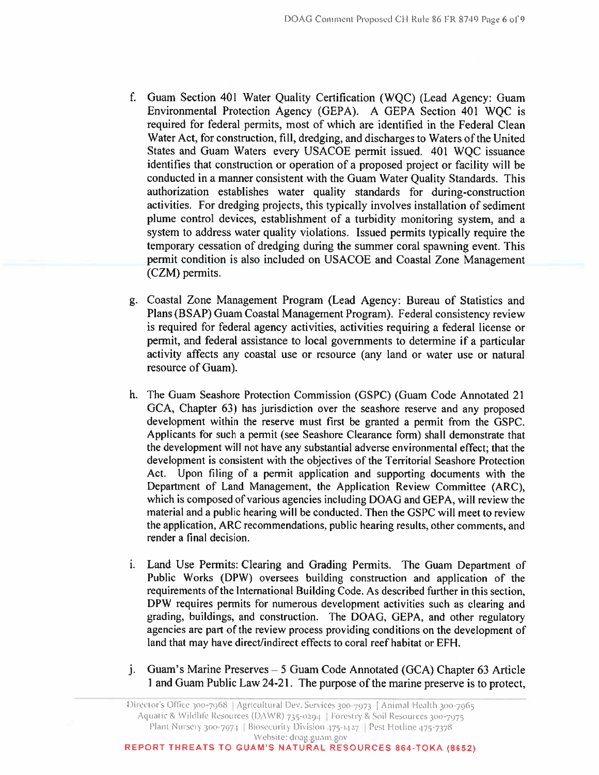- f. Guam Section 401 Water Quality Certification (WQC) (Lead Agency: Guam Environmental Protection Agency (GEPA). A GEPA Section 401 WOC is required for federal permits, most of which are identified in the Federal Clean Water Act, for construction, fill, dredging, and discharges to Waters of the United States and Guam Waters every USACOE permit issued. 401 WOC issuance identifies that construction or operation of a proposed project or facility will be conducted in a manner consistent with the Guam Water Quality Standards. This authorization establishes water quality standards for during-construction activities. For dredging projects, this typically involves installation of sediment plume control devices, establishment of a turbidity monitoring system, and a system to address water quality violations. Issued permits typically require the temporary cessation of dredging during the summer coral spawning event. This permit condition is also included on USACOE and Coastal Zone Management (CZM) permits.
- g. Coastal Zone Management Program (Lead Agency: Bureau of Statistics and Plans (BSAP) Guam Coastal Management Program). Federal consistency review is required for federal agency activities, activities requiring a federal license or permit, and federal assistance to local governments to determine if a particular activity affects any coastal use or resource (any land or water use or natural resource of Guam).
- h. The Guam Seashore Protection Commission (GSPC) (Guam Code Annotated 21 GCA, Chapter 63) has jurisdiction over the seashore reserve and any proposed development within the reserve must first be granted a permit from the GSPC. Applicants for such a permit (see Seashore Clearance form) shall demonstrate that the development will not have any substantial adverse environmental effect; that the development is consistent with the objectives of the Territorial Seashore Protection Act. Upon filing of a permit application and supporting documents with the Department of Land Management, the Application Review Committee (ARC), which is composed of various agencies including DOAG and GEPA, will review the material and a public hearing will be conducted. Then the GSPC will meet to review the application, ARC recommendations, public hearing results, other comments, and render a final decision.
- i. Land Use Permits: Clearing and Grading Permits. The Guam Department of Public Works (DPW) oversees building construction and application of the requirements of the International Building Code. As described further in this section, DPW requires permits for numerous development activities such as clearing and grading, buildings, and construction. The DOAG, GEPA, and other regulatory agencies are part of the review process providing conditions on the development of land that may have direct/indirect effects to coral reef habitat or EFH.
- j. Guam's Marine Preserves  $-5$  Guam Code Annotated (GCA) Chapter 63 Article 1 and Guam Public Law 24-21. The purpose of the marine preserve is to protect,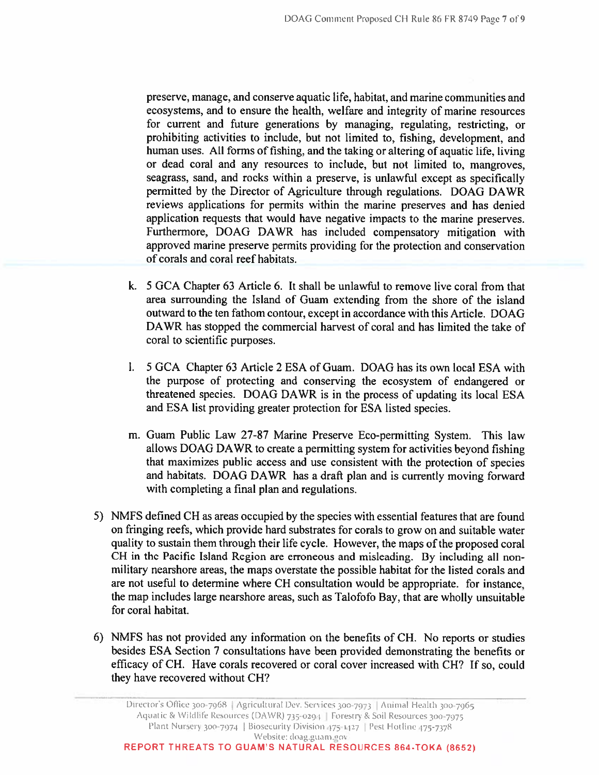preserve, manage, and conserve aquatic life, habitat, and marine communities and ecosystems, and to ensure the health, welfare and integrity of marine resources for current and future generations by managing, regulating, restricting, or prohibiting activities to include, but not limited to, fishing, development, and human uses. All forms of fishing, and the taking or altering of aquatic life, living or dead coral and any resources to include, but not limited to, mangroves, seagrass, sand, and rocks within a preserve, is unlawful except as specifically permitted by the Director of Agriculture through regulations. DOAG DAWR reviews applications for permits within the marine preserves and has denied application requests that would have negative impacts to the marine preserves. Furthermore, DOAG DAWR has included compensatory mitigation with approved marine preserve permits providing for the protection and conservation of corals and coral reef habitats.

- k. 5 GCA Chapter 63 Article 6. It shall be unlawful to remove live coral from that area surrounding the Island of Guam extending from the shore of the island outward to the ten fathom contour, except in accordance with this Article. DOAG DAWR has stopped the commercial harvest of coral and has limited the take of coral to scientific purposes.
- 1. 5 GCA Chapter 63 Article 2 ESA of Guam. DOAG has its own local ESA with the purpose of protecting and conserving the ecosystem of endangered or threatened species. DOAG DAWR is in the process of updating its local ESA and ESA list providing greater protection for ESA listed species.
- m. Guam Public Law 27-87 Marine Preserve Eco-permitting System. This law allows DOAG DAWR to create a permitting system for activities beyond fishing that maximizes public access and use consistent with the protection of species and habitats. DOAG DAWR has a draft plan and is currently moving forward with completing a final plan and regulations.
- 5) NMFS defined CH as areas occupied by the species with essential features that are found on fringing reefs, which provide hard substrates for corals to grow on and suitable water quality to sustain them through their life cycle. However, the maps of the proposed coral CH in the Pacific Island Region are erroneous and misleading. By including all nonmilitary nearshore areas, the maps overstate the possible habitat for the listed corals and are not useful to determine where CH consultation would be appropriate. for instance, the map includes large nearshore areas, such as Talofofo Bay, that are wholly unsuitable for coral habitat.
- 6) NMFS has not provided any information on the benefits of CH. No reports or studies besides ESA Section 7 consultations have been provided demonstrating the benefits or efficacy of CH. Have corals recovered or coral cover increased with CH? If so, could they have recovered without CH?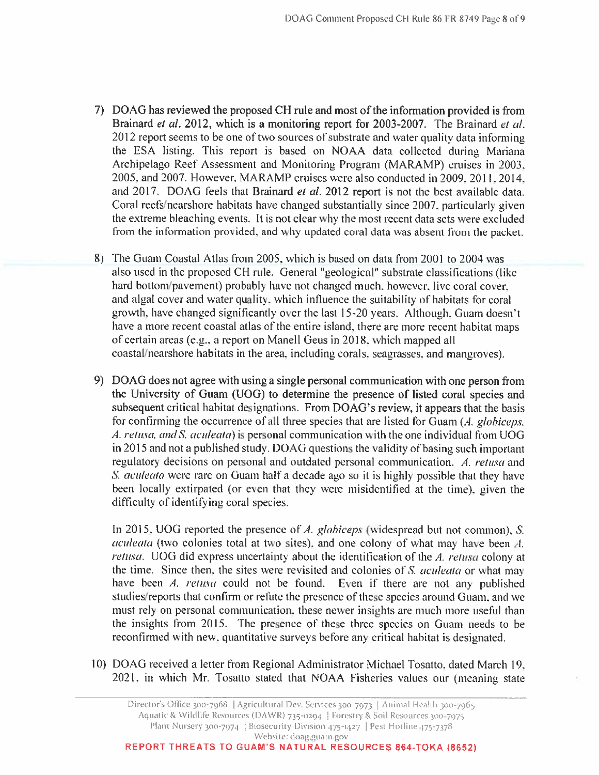- 7) DOAG has reviewed the proposed CH rule and most of the information provided is from Brainard et al. 2012, which is a monitoring report for 2003-2007. The Brainard et al. 2012 report seems to be one of two sources of substrate and water quality data informing the ESA listing. This report is based on NOAA data collected during Mariana Archipelago Reef Assessment and Monitoring Program (MARAMP) cruises in 2003, 2005, and 2007. However, MARAMP cruises were also conducted in 2009, 2011, 2014, and 2017. DOAG feels that Brainard et al. 2012 report is not the best available data. Coral reefs/nearshore habitats have changed substantially since 2007, particularly given the extreme bleaching events. It is not clear why the most recent data sets were excluded from the information provided, and why updated coral data was absent from the packet.
- 8) The Guam Coastal Atlas from 2005, which is based on data from 2001 to 2004 was also used in the proposed CH rule. General "geological" substrate classifications (like hard bottom/pavement) probably have not changed much, however, live coral cover, and algal cover and water quality, which influence the suitability of habitats for coral growth, have changed significantly over the last 15-20 years. Although, Guam doesn't have a more recent coastal atlas of the entire island, there are more recent habitat maps of certain areas (e.g., a report on Manell Geus in 2018, which mapped all coastal/nearshore habitats in the area, including corals, seagrasses, and mangroves).
- 9) DOAG does not agree with using a single personal communication with one person from the University of Guam (UOG) to determine the presence of listed coral species and subsequent critical habitat designations. From DOAG's review, it appears that the basis for confirming the occurrence of all three species that are listed for Guam (A. globiceps, A. retusa, and S. aculeata) is personal communication with the one individual from UOG in 2015 and not a published study. DOAG questions the validity of basing such important regulatory decisions on personal and outdated personal communication. A. retusa and S. aculeata were rare on Guam half a decade ago so it is highly possible that they have been locally extirpated (or even that they were misidentified at the time), given the difficulty of identifying coral species.

In 2015, UOG reported the presence of A. globiceps (widespread but not common), S. aculeata (two colonies total at two sites), and one colony of what may have been A. retusa. UOG did express uncertainty about the identification of the A. retusa colony at the time. Since then, the sites were revisited and colonies of S. *aculeata* or what may have been A, retusa could not be found. Even if there are not any published studies/reports that confirm or refute the presence of these species around Guam, and we must rely on personal communication, these newer insights are much more useful than the insights from 2015. The presence of these three species on Guam needs to be reconfirmed with new, quantitative surveys before any critical habitat is designated.

10) DOAG received a letter from Regional Administrator Michael Tosatto, dated March 19, 2021, in which Mr. Tosatto stated that NOAA Fisheries values our (meaning state

REPORT THREATS TO GUAM'S NATURAL RESOURCES 864-TOKA (8652)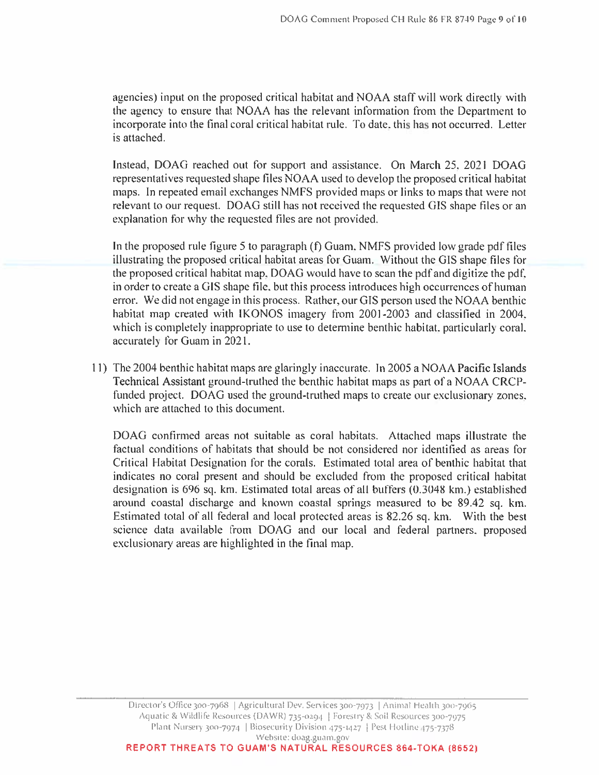agencies) input on the proposed critical habitat and NOAA staff will work directly with the agency to ensure that NOAA has the relevant information from the Department to incorporate into the final coral critical habitat rule. To date, this has not occurred. Letter is attached.

Instead, DOAG reached out for support and assistance. On March 25, 2021 DOAG representatives requested shape files NOAA used to develop the proposed critical habitat maps. In repeated email exchanges NMFS provided maps or links to maps that were not relevant to our request. DOAG still has not received the requested GIS shape files or an explanation for why the requested files are not provided.

In the proposed rule figure 5 to paragraph (f) Guam, NMFS provided low grade pdf files illustrating the proposed critical habitat areas for Guam. Without the GIS shape files for the proposed critical habitat map, DOAG would have to scan the pdf and digitize the pdf. in order to create a GIS shape file, but this process introduces high occurrences of human error. We did not engage in this process. Rather, our GIS person used the NOAA benthic habitat map created with IKONOS imagery from 2001-2003 and classified in 2004, which is completely inappropriate to use to determine benthic habitat, particularly coral, accurately for Guam in 2021.

11) The 2004 benthic habitat maps are glaringly inaccurate. In 2005 a NOAA Pacific Islands Technical Assistant ground-truthed the benthic habitat maps as part of a NOAA CRCPfunded project. DOAG used the ground-truthed maps to create our exclusionary zones, which are attached to this document.

DOAG confirmed areas not suitable as coral habitats. Attached maps illustrate the factual conditions of habitats that should be not considered nor identified as areas for Critical Habitat Designation for the corals. Estimated total area of benthic habitat that indicates no coral present and should be excluded from the proposed critical habitat designation is 696 sq. km. Estimated total areas of all buffers (0.3048 km.) established around coastal discharge and known coastal springs measured to be 89.42 sq. km. Estimated total of all federal and local protected areas is 82.26 sq. km. With the best science data available from DOAG and our local and federal partners, proposed exclusionary areas are highlighted in the final map.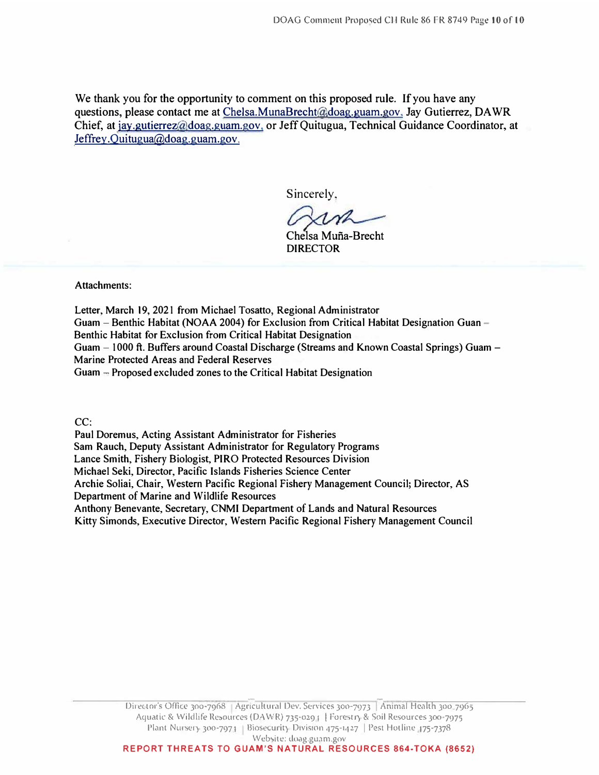We thank you for the opportunity to comment on this proposed rule. If you have any questions, please contact me at Chelsa.MunaBrecht@doag.guam.gov. Jay Gutierrez, DAWR Chief, at jay.gutierrez@doag.guam.gov. or Jeff Quitugua, Technical Guidance Coordinator, at Jeffrey.Ouitugua@doag.guam.gov.

Sincerely,

Chelsa Muna-Brecht **DIRECTOR** 

**Attachments:** 

**Letter, March 19, 2021 from Michael Tosatto, Regional Administrator Guam - Benthic Habitat (NOAA 2004) for Exclusion from Critical Habitat Designation Guan - Benthic Habitat for Exclusion from Critical Habitat Designation Guam - 1000 ft. Buffers around Coastal Discharge (Streams and Known Coastal Springs) Guam - Marine Protected Areas and Federal Reserves**  Guam - Proposed excluded zones to the Critical Habitat Designation

**CC:**

**Paul Doremus, Acting Assistant Administrator for Fisheries Sam Rauch, Deputy Assistant Administrator for Regulatory Programs Lance Smith, Fishery Biologist, PIRO Protected Resources Division Michael Seki, Director, Pacific Islands Fisheries Science Center Archie Soliai, Chair, Western Pacific Regional Fishery Management Council; Director, AS Department of Marine and Wildlife Resources Anthony Benevante, Secretary, CNMI Department of Lands and Natural Resources Kitty Simonds, Executive Director, Western Pacific Regional Fishery Management Council**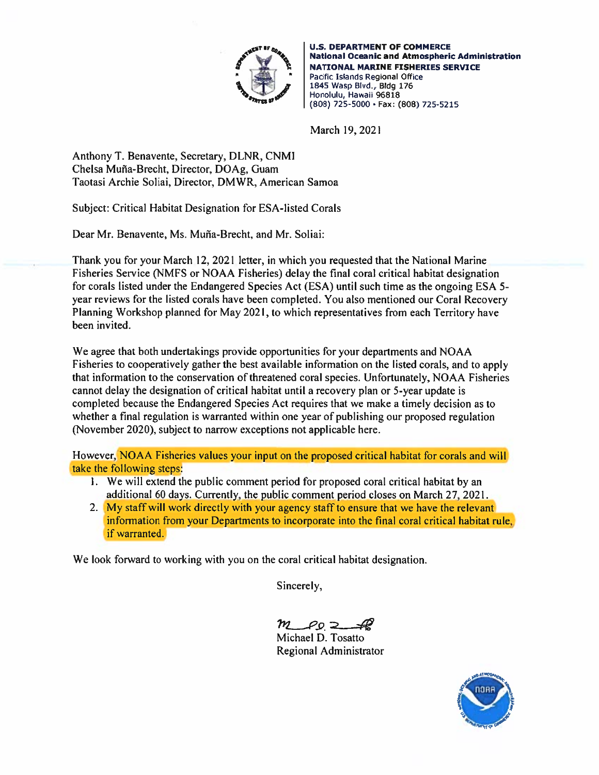

**U.S. DEPARTMENT OF COMMERCE National Oceanic and Atmospheric Administration NATIONAL MARINE FISHERIES SERVICE** Pacific Islands Regional Office 1845 Wasp Blvd., Bldg 176 Honolulu, Hawaii 96818 (808) 725-5000 · Fax: (808) 725-5215

March 19, 2021

Anthony T. Benavente, Secretary, DLNR, CNMI Chelsa Muña-Brecht, Director, DOAg, Guam Taotasi Archie Soliai, Director, DMWR, American Samoa

Subject: Critical Habitat Designation for ESA-listed Corals

Dear Mr. Benavente, Ms. Muña-Brecht, and Mr. Soliai:

Thank you for your March 12, 2021 letter, in which you requested that the National Marine Fisheries Service (NMFS or NOAA Fisheries) delay the final coral critical habitat designation for corals listed under the Endangered Species Act (ESA) until such time as the ongoing ESA 5year reviews for the listed corals have been completed. You also mentioned our Coral Recovery Planning Workshop planned for May 2021, to which representatives from each Territory have been invited.

We agree that both undertakings provide opportunities for your departments and NOAA Fisheries to cooperatively gather the best available information on the listed corals, and to apply that information to the conservation of threatened coral species. Unfortunately, NOAA Fisheries cannot delay the designation of critical habitat until a recovery plan or 5-year update is completed because the Endangered Species Act requires that we make a timely decision as to whether a final regulation is warranted within one year of publishing our proposed regulation (November 2020), subject to narrow exceptions not applicable here.

However, NOAA Fisheries values your input on the proposed critical habitat for corals and will take the following steps:

- 1. We will extend the public comment period for proposed coral critical habitat by an additional 60 days. Currently, the public comment period closes on March 27, 2021.
- 2. My staff will work directly with your agency staff to ensure that we have the relevant information from your Departments to incorporate into the final coral critical habitat rule, if warranted.

We look forward to working with you on the coral critical habitat designation.

Sincerely,

 $m_{\text{PQ}}$ 

Michael D. Tosatto Regional Administrator

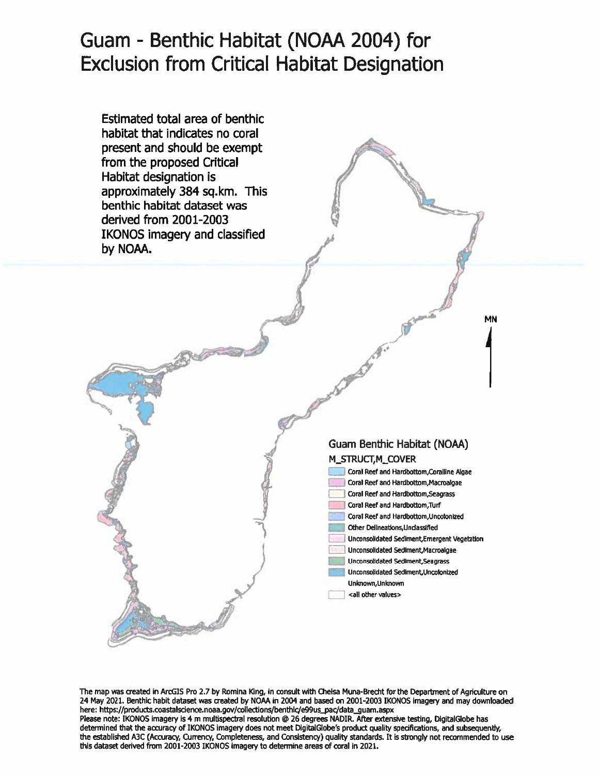## Guam - Benthic Habitat (NOAA 2004) for **Exclusion from Critical Habitat Designation**



The map was created in ArcGIS Pro 2.7 by Romina King, in consult with Chelsa Muna-Brecht for the Department of Agriculture on 24 May 2021. Benthic habit dataset was created by NOAA in 2004 and based on 2001-2003 IKONOS imagery and may downloaded here: https://products.coastalscience.noaa.gov/collections/benthic/e99us\_pac/data\_guam.aspx Please note: IKONOS imagery is 4 m multispectral resolution @ 26 degrees NADIR. After extensive testing, DigitalGlobe has determined that the accuracy of IKONOS imagery does not meet DigitalGlobe's product quality specifications, and subsequently, the established A3C (Accuracy, Currency, Completeness, and Consistency) quality standards. It is strongly not recommended to use this dataset derived from 2001-2003 IKONOS imagery to determine areas of coral in 2021.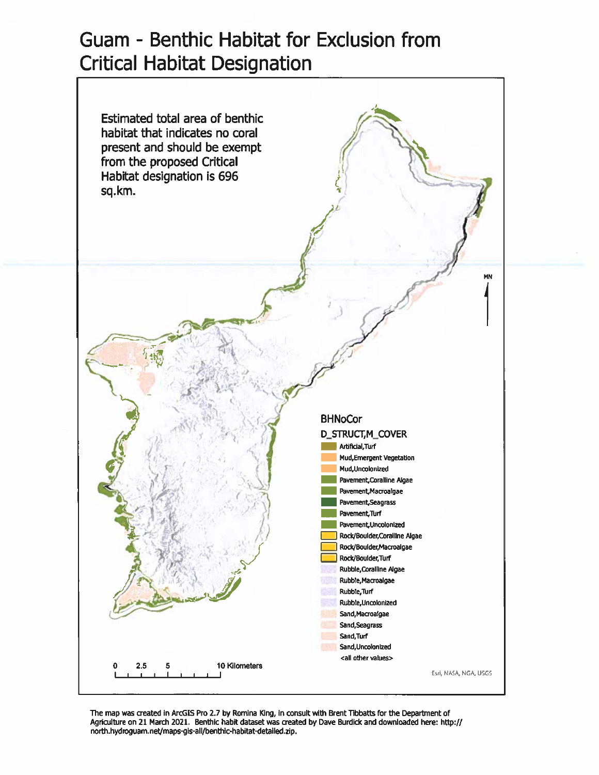## Guam - Benthic Habitat for Exclusion from **Critical Habitat Designation**



The map was created in ArcGIS Pro 2.7 by Romina King, in consult with Brent Tibbatts for the Department of Agriculture on 21 March 2021. Benthic habit dataset was created by Dave Burdick and downloaded here: http:// north.hydroguam.net/maps-gis-all/benthic-habitat-detailed.zip.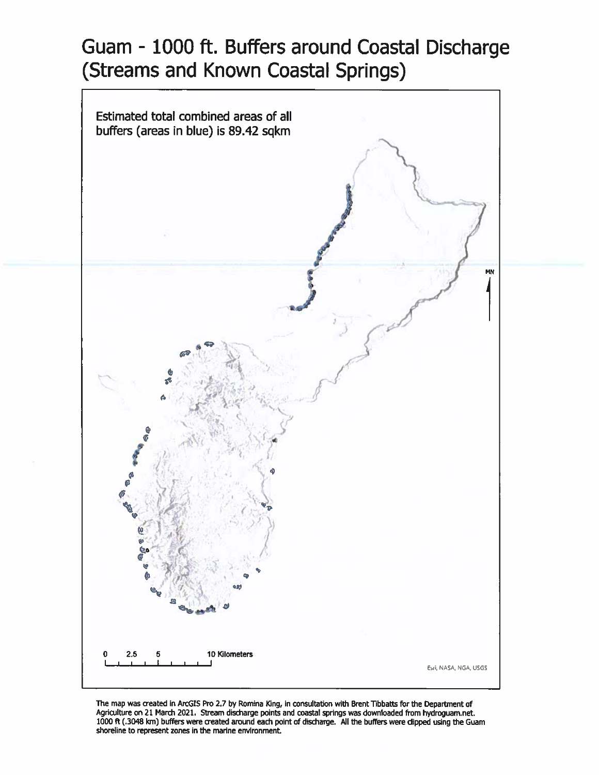# Guam - 1000 ft. Buffers around Coastal Discharge (Streams and Known Coastal Springs)



The map was created in ArcGIS Pro 2.7 by Romina King, in consultation with Brent Tibbatts for the Department of Agriculture on 21 March 2021. Stream discharge points and coastal springs was downloaded from hydroguam.net. 1000 ft (.3048 km) buffers were created around each point of discharge. All the buffers were dipped using the Guam shoreline to represent zones in the marine environment.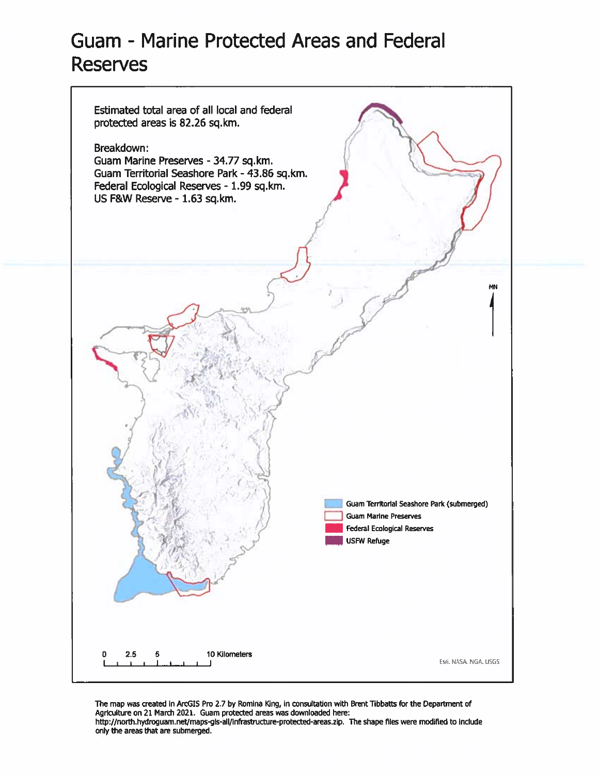### Guam - Marine Protected Areas and Federal **Reserves**



The map was created in ArcGIS Pro 2.7 by Romina King, in consultation with Brent Tibbatts for the Department of Agriculture on 21 March 2021. Guam protected areas was downloaded here: http://north.hydroguam.net/maps-gis-all/infrastructure-protected-areas.zip. The shape files were modified to include only the areas that are submerged.